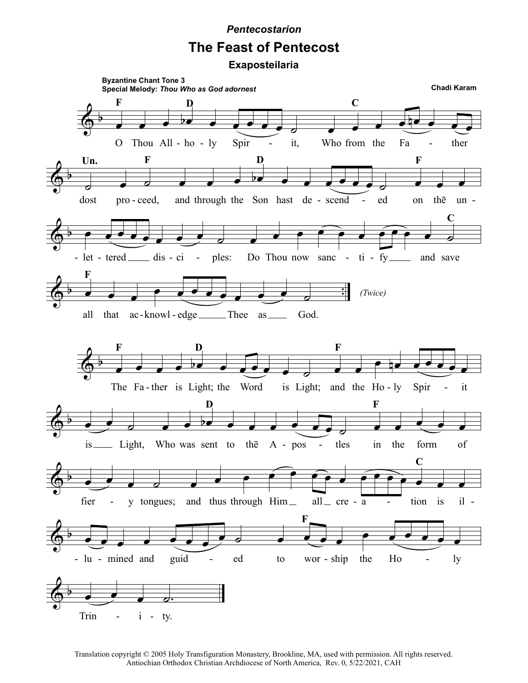## **Pentecostarion**

## **The Feast of Pentecost**

Exaposteilaria



Translation copyright © 2005 Holy Transfiguration Monastery, Brookline, MA, used with permission. All rights reserved. Antiochian Orthodox Christian Archdiocese of North America, Rev. 0, 5/22/2021, CAH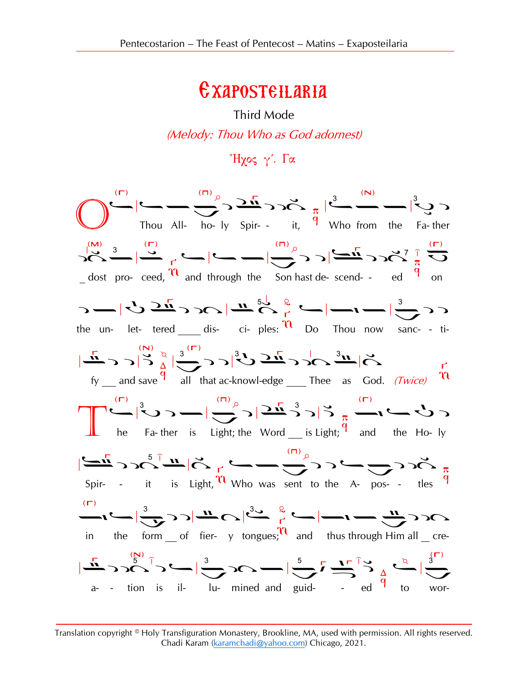## Exaposteilaria

Third Mode (Melody: Thou Who as God adornest)



Translation copyright © Holy Transfiguration Monastery, Brookline, MA, used with permission. All rights reserved. Chadi Karam [\(karamchadi@yahoo.com\)](mailto:karamchadi@yahoo.com) Chicago, 2021.